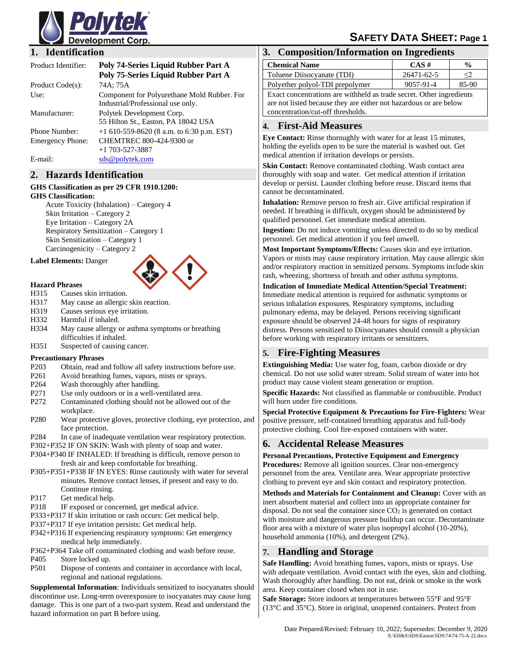

# **SAFETY DATA SHEET: Page 1**

#### **1. Identification**

| Product Identifier:     | Poly 74-Series Liquid Rubber Part A<br>Poly 75-Series Liquid Rubber Part A       |
|-------------------------|----------------------------------------------------------------------------------|
| Product Code(s):        | 74A; 75A                                                                         |
| Use:                    | Component for Polyurethane Mold Rubber. For<br>Industrial/Professional use only. |
| Manufacturer:           | Polytek Development Corp.<br>55 Hilton St., Easton, PA 18042 USA                 |
| Phone Number:           | +1 610-559-8620 (8 a.m. to 6:30 p.m. EST)                                        |
| <b>Emergency Phone:</b> | CHEMTREC 800-424-9300 or<br>$+1$ 703-527-3887                                    |
| E-mail:                 | sds@polytek.com                                                                  |

#### **2. Hazards Identification**

#### **GHS Classification as per 29 CFR 1910.1200: GHS Classification:**

Acute Toxicity (Inhalation) – Category 4 Skin Irritation – Category 2 Eye Irritation – Category 2A Respiratory Sensitization – Category 1 Skin Sensitization – Category 1 Carcinogenicity – Category 2

#### **Label Elements:** Danger



#### **Hazard Phrases**

- H315 Causes skin irritation.
- H317 May cause an allergic skin reaction.
- H319 Causes serious eye irritation.
- H332 Harmful if inhaled.
- H334 May cause allergy or asthma symptoms or breathing difficulties if inhaled.
- H351 Suspected of causing cancer.

#### **Precautionary Phrases**

- P203 Obtain, read and follow all safety instructions before use.
- P261 Avoid breathing fumes, vapors, mists or sprays.
- P264 Wash thoroughly after handling.
- P271 Use only outdoors or in a well-ventilated area.
- P272 Contaminated clothing should not be allowed out of the workplace.
- P280 Wear protective gloves, protective clothing, eye protection, and face protection.
- P284 In case of inadequate ventilation wear respiratory protection.
- P302+P352 IF ON SKIN: Wash with plenty of soap and water.
- P304+P340 IF INHALED: If breathing is difficult, remove person to fresh air and keep comfortable for breathing.
- P305+P351+P338 IF IN EYES: Rinse cautiously with water for several minutes. Remove contact lenses, if present and easy to do. Continue rinsing.
- P317 Get medical help.
- 
- P318 IF exposed or concerned, get medical advice. P333+P317 If skin irritation or rash occurs: Get medical help.
- P337+P317 If eye irritation persists: Get medical help.
- P342+P316 If experiencing respiratory symptoms: Get emergency medical help immediately.
- P362+P364 Take off contaminated clothing and wash before reuse.
- P405 Store locked up.
- P501 Dispose of contents and container in accordance with local, regional and national regulations.

**Supplemental Information**: Individuals sensitized to isocyanates should discontinue use. Long-term overexposure to isocyanates may cause lung damage. This is one part of a two-part system. Read and understand the hazard information on part B before using.

### **3. Composition/Information on Ingredients**

| <b>Chemical Name</b>                                                 | CAS#       | $\frac{0}{0}$ |  |
|----------------------------------------------------------------------|------------|---------------|--|
| Toluene Diisocyanate (TDI)                                           | 26471-62-5 | ≤2.           |  |
| Polyether polyol-TDI prepolymer                                      | 9057-91-4  | 85-90         |  |
| Exact concentrations are withheld as trade secret. Other ingredients |            |               |  |
| are not listed because they are either not hazardous or are below    |            |               |  |
| concentration/cut-off thresholds.                                    |            |               |  |

#### **4. First-Aid Measures**

**Eye Contact:** Rinse thoroughly with water for at least 15 minutes, holding the eyelids open to be sure the material is washed out. Get medical attention if irritation develops or persists.

**Skin Contact:** Remove contaminated clothing. Wash contact area thoroughly with soap and water. Get medical attention if irritation develop or persist. Launder clothing before reuse. Discard items that cannot be decontaminated.

**Inhalation:** Remove person to fresh air. Give artificial respiration if needed. If breathing is difficult, oxygen should be administered by qualified personnel. Get immediate medical attention.

**Ingestion:** Do not induce vomiting unless directed to do so by medical personnel. Get medical attention if you feel unwell.

**Most Important Symptoms/Effects:** Causes skin and eye irritation. Vapors or mists may cause respiratory irritation. May cause allergic skin and/or respiratory reaction in sensitized persons. Symptoms include skin rash, wheezing, shortness of breath and other asthma symptoms.

#### **Indication of Immediate Medical Attention/Special Treatment:**  Immediate medical attention is required for asthmatic symptoms or serious inhalation exposures. Respiratory symptoms, including pulmonary edema, may be delayed. Persons receiving significant exposure should be observed 24-48 hours for signs of respiratory distress. Persons sensitized to Diisocyanates should consult a physician before working with respiratory irritants or sensitizers.

### **5. Fire-Fighting Measures**

**Extinguishing Media:** Use water fog, foam, carbon dioxide or dry chemical. Do not use solid water stream. Solid stream of water into hot product may cause violent steam generation or eruption.

**Specific Hazards:** Not classified as flammable or combustible. Product will burn under fire conditions.

**Special Protective Equipment & Precautions for Fire-Fighters:** Wear positive pressure, self-contained breathing apparatus and full-body protective clothing. Cool fire-exposed containers with water.

### **6. Accidental Release Measures**

**Personal Precautions, Protective Equipment and Emergency Procedures:** Remove all ignition sources. Clear non-emergency personnel from the area. Ventilate area. Wear appropriate protective clothing to prevent eye and skin contact and respiratory protection.

**Methods and Materials for Containment and Cleanup:** Cover with an inert absorbent material and collect into an appropriate container for disposal. Do not seal the container since  $CO<sub>2</sub>$  is generated on contact with moisture and dangerous pressure buildup can occur. Decontaminate floor area with a mixture of water plus isopropyl alcohol (10-20%), household ammonia (10%), and detergent (2%).

### **7. Handling and Storage**

**Safe Handling:** Avoid breathing fumes, vapors, mists or sprays. Use with adequate ventilation. Avoid contact with the eyes, skin and clothing. Wash thoroughly after handling. Do not eat, drink or smoke in the work area. Keep container closed when not in use.

**Safe Storage:** Store indoors at temperatures between 55°F and 95°F (13°C and 35°C). Store in original, unopened containers. Protect from